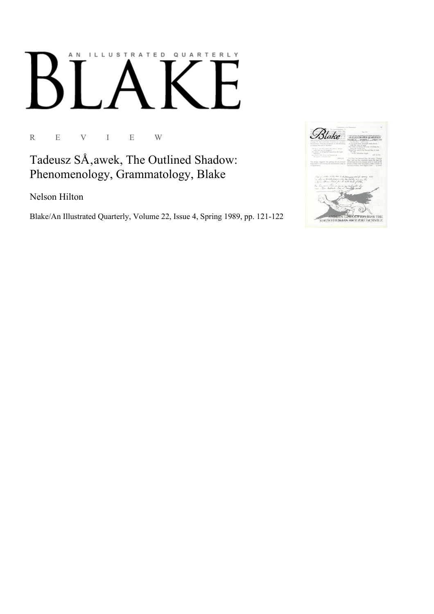## AN ILLUSTRATED QUARTERLY

R E V I E W

Tadeusz SÅ, awek, The Outlined Shadow: Phenomenology, Grammatology, Blake

Nelson Hilton

Blake/An Illustrated Quarterly, Volume 22, Issue 4, Spring 1989, pp. 121-122

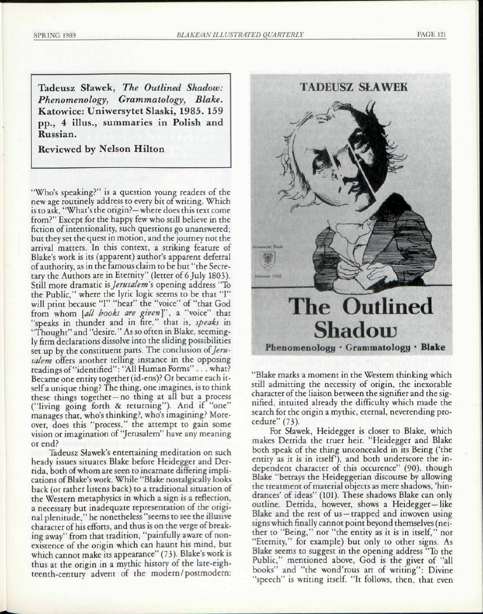Tadeusz Sfawek, *The Outlined Shadow: Phenomenology, Grammatology, Blake.*  Katowice: Uniwersytet Slaski, 1985. 159 pp., 4 illus., summaries in Polish and Russian.

Reviewed by Nelson Hilton

"Who's speaking?" is a question young readers of the new age routinely address to every bit of writing. Which is to ask, "What's the origin?—where does this text come from?" Except for the happy few who still believe in the fiction of intentionality, such questions go unanswered; but they set the quest in motion, and the journey not the arrival matters. In this context, a striking feature of Blake's work is its (apparent) author's apparent deferral of authority, as in the famous claim to be but "the Secretary the Authors are in Eternity" (letter of 6 July 1803). Still more dramatic *Is Jerusalem's* opening address "To the Public," where the lyric logic seems to be that "I" will print because "I" "hear" the "voice" of "that God from whom [all books are given]", a "voice" that "speaks in thunder and in fire," that is, *speaks* in "Thought" and "desire." As so often in Blake, seemingly firm declarations dissolve into the sliding possibilities set up by the constituent parts. The conclusion of *Jerusalem* offers another telling instance in the opposing readings of "identified": "All Human Forms" . . . what? Became one entity together (id-ens)? Or became each itself a unique thing? The thing, one imagines, is to think these things together—no thing at all but a process ("living going forth & returning"). And if "one" manages that, who's thinking?, who's imagining? Moreover, does this "process," the attempt to gain some vision or imagination of "Jerusalem" have any meaning or end?

Tadeusz SJawek's entertaining meditation on such heady issues situates Blake before Heidegger and Derrida, both of whom are seen to incarnate differing implications of Blake's work. While "Blake nostalgically looks back (or rather listens back) to a traditional situation of the Western metaphysics in which a sign is a reflection, a necessary but inadequate representation of the original plenitude," he nonetheless "seems to see the illusive character of his efforts, and thus is on the verge of breaking away" from that tradition, "painfully aware of nonexistence of the origin which can haunt his mind, but which cannot make its appearance" (73). Blake's work is thus at the origin in a mythic history of the late-eighteenth-century advent of the modern/postmodern:



"Blake marks a moment in the Western thinking which still admitting the necessity of origin, the inexorable character of the liaison between the signifier and the signified, intuited already the difficulty which made the search for the origin a mythic, eternal, neverending procedure" (73).

For Slawek, Heidegger is closer to Blake, which makes Derrida the truer heir. "Heidegger and Blake both speak of the thing unconcealed in its Being ('the entity as it is in itself), and both underscore the independent character of this occurence" (90), though Blake "betrays the Heideggerian discourse by allowing the treatment of material objects as mere shadows, 'hindrances' of ideas" (101). These shadows Blake can only outline. Derrida, however, shows a Heidegger—like Blake and the rest of us —trapped and inwoven using signs which finally cannot point beyond themselves (neither to "Being," nor "the entity as it is in itself," nor "Eternity," for example) but only to other signs. As Blake seems to suggest in the opening address "To the Public," mentioned above, God is the giver of "all books" and "the wond'rous art of writing": Divine "speech" is writing itself. "It follows, then, that even